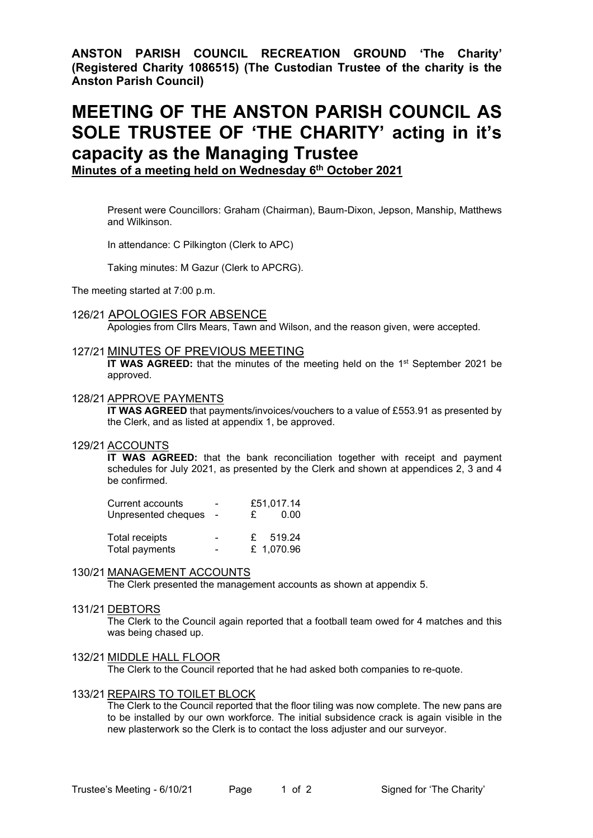**ANSTON PARISH COUNCIL RECREATION GROUND 'The Charity' (Registered Charity 1086515) (The Custodian Trustee of the charity is the Anston Parish Council)**

# **MEETING OF THE ANSTON PARISH COUNCIL AS SOLE TRUSTEE OF 'THE CHARITY' acting in it's capacity as the Managing Trustee**

**Minutes of a meeting held on Wednesday 6 th October 2021**

Present were Councillors: Graham (Chairman), Baum-Dixon, Jepson, Manship, Matthews and Wilkinson.

In attendance: C Pilkington (Clerk to APC)

Taking minutes: M Gazur (Clerk to APCRG).

The meeting started at 7:00 p.m.

#### 126/21 APOLOGIES FOR ABSENCE

Apologies from Cllrs Mears, Tawn and Wilson, and the reason given, were accepted.

#### 127/21 MINUTES OF PREVIOUS MEETING

**IT WAS AGREED:** that the minutes of the meeting held on the 1<sup>st</sup> September 2021 be approved.

#### 128/21 APPROVE PAYMENTS

**IT WAS AGREED** that payments/invoices/vouchers to a value of £553.91 as presented by the Clerk, and as listed at appendix 1, be approved.

#### 129/21 ACCOUNTS

**IT WAS AGREED:** that the bank reconciliation together with receipt and payment schedules for July 2021, as presented by the Clerk and shown at appendices 2, 3 and 4 be confirmed.

| Current accounts      |                          |    | £51,017.14 |  |
|-----------------------|--------------------------|----|------------|--|
| Unpresented cheques   |                          | £. | 0.00       |  |
| <b>Total receipts</b> | $\overline{\phantom{0}}$ |    | $£$ 519.24 |  |
| Total payments        | $\sim$                   |    | £ 1,070.96 |  |

## 130/21 MANAGEMENT ACCOUNTS

The Clerk presented the management accounts as shown at appendix 5.

## 131/21 DEBTORS

The Clerk to the Council again reported that a football team owed for 4 matches and this was being chased up.

#### 132/21 MIDDLE HALL FLOOR

The Clerk to the Council reported that he had asked both companies to re-quote.

## 133/21 REPAIRS TO TOILET BLOCK

The Clerk to the Council reported that the floor tiling was now complete. The new pans are to be installed by our own workforce. The initial subsidence crack is again visible in the new plasterwork so the Clerk is to contact the loss adjuster and our surveyor.